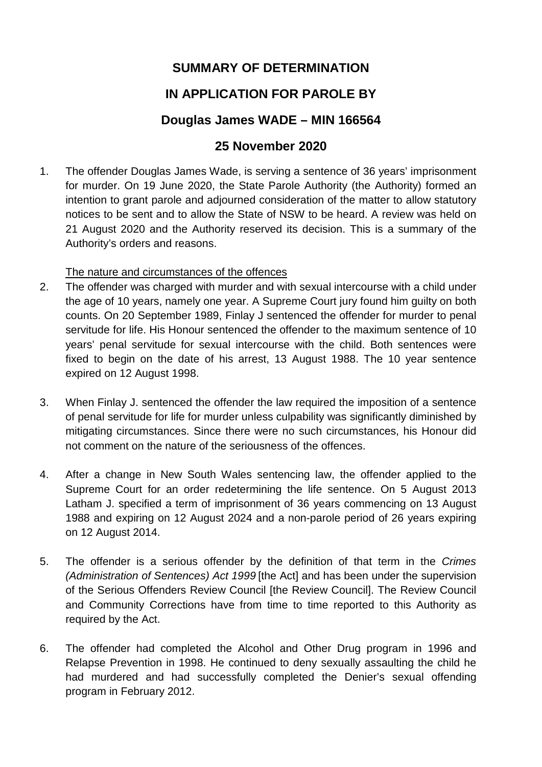# **SUMMARY OF DETERMINATION**

# **IN APPLICATION FOR PAROLE BY**

## **Douglas James WADE – MIN 166564**

## **25 November 2020**

1. The offender Douglas James Wade, is serving a sentence of 36 years' imprisonment for murder. On 19 June 2020, the State Parole Authority (the Authority) formed an intention to grant parole and adjourned consideration of the matter to allow statutory notices to be sent and to allow the State of NSW to be heard. A review was held on 21 August 2020 and the Authority reserved its decision. This is a summary of the Authority's orders and reasons.

### The nature and circumstances of the offences

- 2. The offender was charged with murder and with sexual intercourse with a child under the age of 10 years, namely one year. A Supreme Court jury found him guilty on both counts. On 20 September 1989, Finlay J sentenced the offender for murder to penal servitude for life. His Honour sentenced the offender to the maximum sentence of 10 years' penal servitude for sexual intercourse with the child. Both sentences were fixed to begin on the date of his arrest, 13 August 1988. The 10 year sentence expired on 12 August 1998.
- 3. When Finlay J. sentenced the offender the law required the imposition of a sentence of penal servitude for life for murder unless culpability was significantly diminished by mitigating circumstances. Since there were no such circumstances, his Honour did not comment on the nature of the seriousness of the offences.
- 4. After a change in New South Wales sentencing law, the offender applied to the Supreme Court for an order redetermining the life sentence. On 5 August 2013 Latham J. specified a term of imprisonment of 36 years commencing on 13 August 1988 and expiring on 12 August 2024 and a non-parole period of 26 years expiring on 12 August 2014.
- 5. The offender is a serious offender by the definition of that term in the *Crimes (Administration of Sentences) Act 1999* [the Act] and has been under the supervision of the Serious Offenders Review Council [the Review Council]. The Review Council and Community Corrections have from time to time reported to this Authority as required by the Act.
- 6. The offender had completed the Alcohol and Other Drug program in 1996 and Relapse Prevention in 1998. He continued to deny sexually assaulting the child he had murdered and had successfully completed the Denier's sexual offending program in February 2012.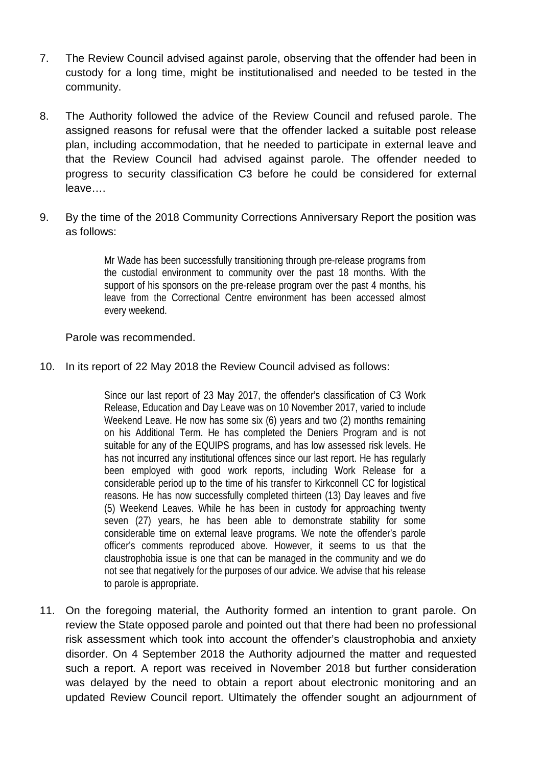- 7. The Review Council advised against parole, observing that the offender had been in custody for a long time, might be institutionalised and needed to be tested in the community.
- 8. The Authority followed the advice of the Review Council and refused parole. The assigned reasons for refusal were that the offender lacked a suitable post release plan, including accommodation, that he needed to participate in external leave and that the Review Council had advised against parole. The offender needed to progress to security classification C3 before he could be considered for external leave….
- 9. By the time of the 2018 Community Corrections Anniversary Report the position was as follows:

Mr Wade has been successfully transitioning through pre-release programs from the custodial environment to community over the past 18 months. With the support of his sponsors on the pre-release program over the past 4 months, his leave from the Correctional Centre environment has been accessed almost every weekend.

#### Parole was recommended.

#### 10. In its report of 22 May 2018 the Review Council advised as follows:

Since our last report of 23 May 2017, the offender's classification of C3 Work Release, Education and Day Leave was on 10 November 2017, varied to include Weekend Leave. He now has some six (6) years and two (2) months remaining on his Additional Term. He has completed the Deniers Program and is not suitable for any of the EQUIPS programs, and has low assessed risk levels. He has not incurred any institutional offences since our last report. He has regularly been employed with good work reports, including Work Release for a considerable period up to the time of his transfer to Kirkconnell CC for logistical reasons. He has now successfully completed thirteen (13) Day leaves and five (5) Weekend Leaves. While he has been in custody for approaching twenty seven (27) years, he has been able to demonstrate stability for some considerable time on external leave programs. We note the offender's parole officer's comments reproduced above. However, it seems to us that the claustrophobia issue is one that can be managed in the community and we do not see that negatively for the purposes of our advice. We advise that his release to parole is appropriate.

11. On the foregoing material, the Authority formed an intention to grant parole. On review the State opposed parole and pointed out that there had been no professional risk assessment which took into account the offender's claustrophobia and anxiety disorder. On 4 September 2018 the Authority adjourned the matter and requested such a report. A report was received in November 2018 but further consideration was delayed by the need to obtain a report about electronic monitoring and an updated Review Council report. Ultimately the offender sought an adjournment of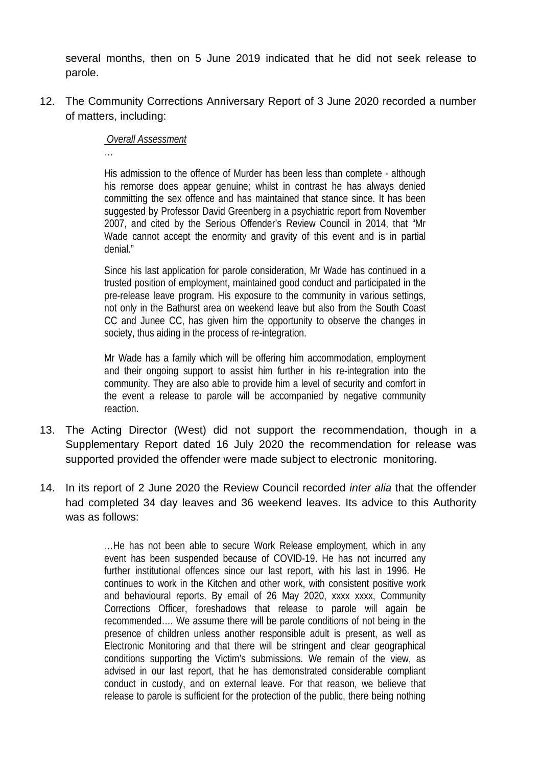several months, then on 5 June 2019 indicated that he did not seek release to parole.

12. The Community Corrections Anniversary Report of 3 June 2020 recorded a number of matters, including:

#### *Overall Assessment*

…

His admission to the offence of Murder has been less than complete - although his remorse does appear genuine; whilst in contrast he has always denied committing the sex offence and has maintained that stance since. It has been suggested by Professor David Greenberg in a psychiatric report from November 2007, and cited by the Serious Offender's Review Council in 2014, that "Mr Wade cannot accept the enormity and gravity of this event and is in partial denial."

Since his last application for parole consideration, Mr Wade has continued in a trusted position of employment, maintained good conduct and participated in the pre-release leave program. His exposure to the community in various settings, not only in the Bathurst area on weekend leave but also from the South Coast CC and Junee CC, has given him the opportunity to observe the changes in society, thus aiding in the process of re-integration.

Mr Wade has a family which will be offering him accommodation, employment and their ongoing support to assist him further in his re-integration into the community. They are also able to provide him a level of security and comfort in the event a release to parole will be accompanied by negative community reaction.

- 13. The Acting Director (West) did not support the recommendation, though in a Supplementary Report dated 16 July 2020 the recommendation for release was supported provided the offender were made subject to electronic monitoring.
- 14. In its report of 2 June 2020 the Review Council recorded *inter alia* that the offender had completed 34 day leaves and 36 weekend leaves. Its advice to this Authority was as follows:

…He has not been able to secure Work Release employment, which in any event has been suspended because of COVID-19. He has not incurred any further institutional offences since our last report, with his last in 1996. He continues to work in the Kitchen and other work, with consistent positive work and behavioural reports. By email of 26 May 2020, xxxx xxxx, Community Corrections Officer, foreshadows that release to parole will again be recommended…. We assume there will be parole conditions of not being in the presence of children unless another responsible adult is present, as well as Electronic Monitoring and that there will be stringent and clear geographical conditions supporting the Victim's submissions. We remain of the view, as advised in our last report, that he has demonstrated considerable compliant conduct in custody, and on external leave. For that reason, we believe that release to parole is sufficient for the protection of the public, there being nothing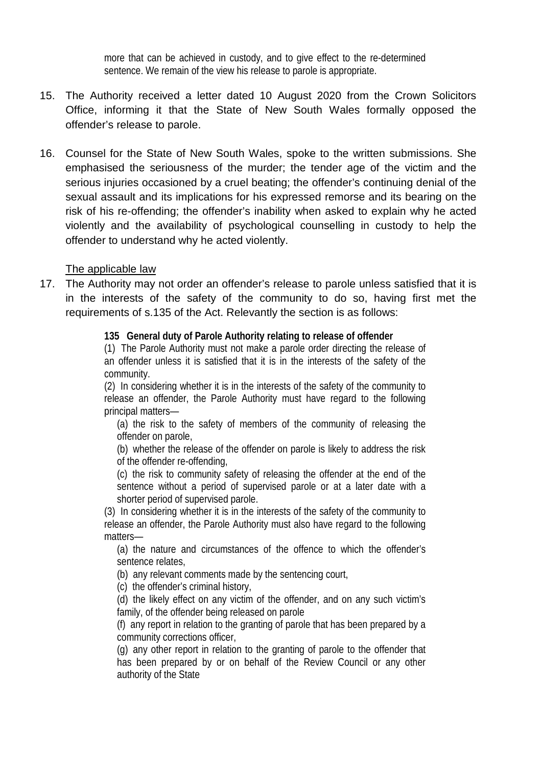more that can be achieved in custody, and to give effect to the re-determined sentence. We remain of the view his release to parole is appropriate.

- 15. The Authority received a letter dated 10 August 2020 from the Crown Solicitors Office, informing it that the State of New South Wales formally opposed the offender's release to parole.
- 16. Counsel for the State of New South Wales, spoke to the written submissions. She emphasised the seriousness of the murder; the tender age of the victim and the serious injuries occasioned by a cruel beating; the offender's continuing denial of the sexual assault and its implications for his expressed remorse and its bearing on the risk of his re-offending; the offender's inability when asked to explain why he acted violently and the availability of psychological counselling in custody to help the offender to understand why he acted violently.

#### The applicable law

17. The Authority may not order an offender's release to parole unless satisfied that it is in the interests of the safety of the community to do so, having first met the requirements of s.135 of the Act. Relevantly the section is as follows:

#### **135 General duty of Parole Authority relating to release of offender**

(1) The Parole Authority must not make a parole order directing the release of an offender unless it is satisfied that it is in the interests of the safety of the community.

(2) In considering whether it is in the interests of the safety of the community to release an offender, the Parole Authority must have regard to the following principal matters—

(a) the risk to the safety of members of the community of releasing the offender on parole,

(b) whether the release of the offender on parole is likely to address the risk of the offender re-offending,

(c) the risk to community safety of releasing the offender at the end of the sentence without a period of supervised parole or at a later date with a shorter period of supervised parole.

(3) In considering whether it is in the interests of the safety of the community to release an offender, the Parole Authority must also have regard to the following matters—

(a) the nature and circumstances of the offence to which the offender's sentence relates,

(b) any relevant comments made by the sentencing court,

(c) the offender's criminal history,

(d) the likely effect on any victim of the offender, and on any such victim's family, of the offender being released on parole

(f) any report in relation to the granting of parole that has been prepared by a community corrections officer,

(g) any other report in relation to the granting of parole to the offender that has been prepared by or on behalf of the Review Council or any other authority of the State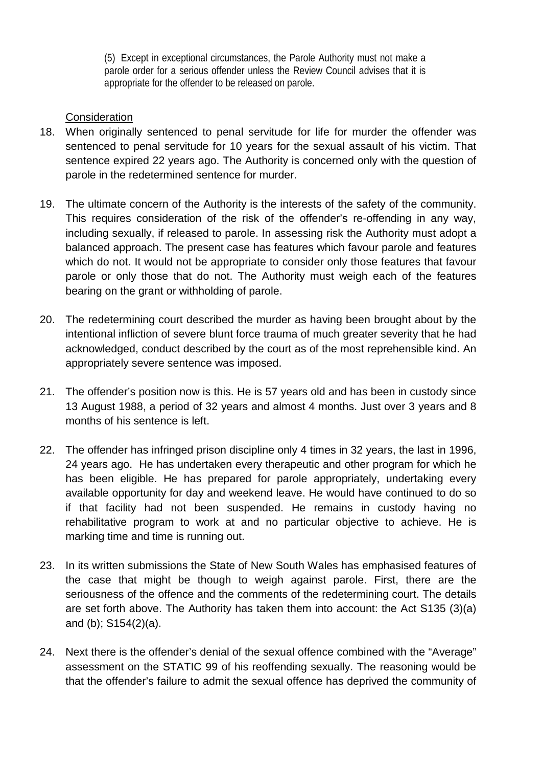(5) Except in exceptional circumstances, the Parole Authority must not make a parole order for a serious offender unless the Review Council advises that it is appropriate for the offender to be released on parole.

### **Consideration**

- 18. When originally sentenced to penal servitude for life for murder the offender was sentenced to penal servitude for 10 years for the sexual assault of his victim. That sentence expired 22 years ago. The Authority is concerned only with the question of parole in the redetermined sentence for murder.
- 19. The ultimate concern of the Authority is the interests of the safety of the community. This requires consideration of the risk of the offender's re-offending in any way, including sexually, if released to parole. In assessing risk the Authority must adopt a balanced approach. The present case has features which favour parole and features which do not. It would not be appropriate to consider only those features that favour parole or only those that do not. The Authority must weigh each of the features bearing on the grant or withholding of parole.
- 20. The redetermining court described the murder as having been brought about by the intentional infliction of severe blunt force trauma of much greater severity that he had acknowledged, conduct described by the court as of the most reprehensible kind. An appropriately severe sentence was imposed.
- 21. The offender's position now is this. He is 57 years old and has been in custody since 13 August 1988, a period of 32 years and almost 4 months. Just over 3 years and 8 months of his sentence is left.
- 22. The offender has infringed prison discipline only 4 times in 32 years, the last in 1996, 24 years ago. He has undertaken every therapeutic and other program for which he has been eligible. He has prepared for parole appropriately, undertaking every available opportunity for day and weekend leave. He would have continued to do so if that facility had not been suspended. He remains in custody having no rehabilitative program to work at and no particular objective to achieve. He is marking time and time is running out.
- 23. In its written submissions the State of New South Wales has emphasised features of the case that might be though to weigh against parole. First, there are the seriousness of the offence and the comments of the redetermining court. The details are set forth above. The Authority has taken them into account: the Act S135 (3)(a) and (b); S154(2)(a).
- 24. Next there is the offender's denial of the sexual offence combined with the "Average" assessment on the STATIC 99 of his reoffending sexually. The reasoning would be that the offender's failure to admit the sexual offence has deprived the community of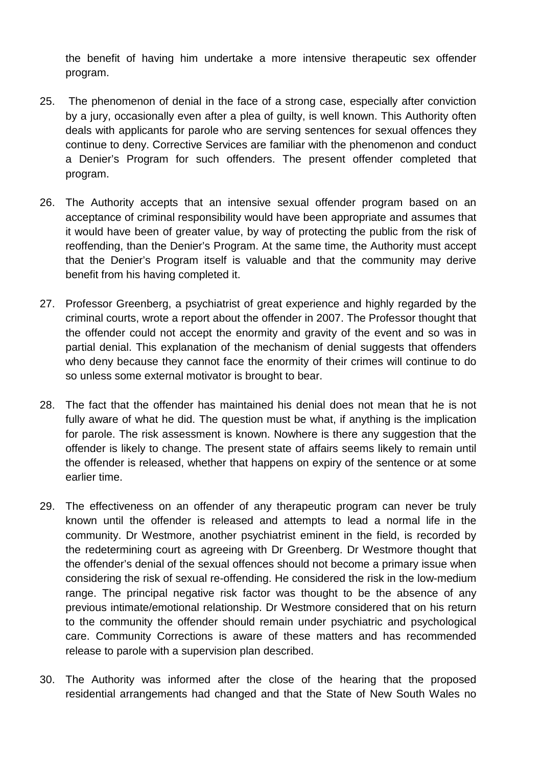the benefit of having him undertake a more intensive therapeutic sex offender program.

- 25. The phenomenon of denial in the face of a strong case, especially after conviction by a jury, occasionally even after a plea of guilty, is well known. This Authority often deals with applicants for parole who are serving sentences for sexual offences they continue to deny. Corrective Services are familiar with the phenomenon and conduct a Denier's Program for such offenders. The present offender completed that program.
- 26. The Authority accepts that an intensive sexual offender program based on an acceptance of criminal responsibility would have been appropriate and assumes that it would have been of greater value, by way of protecting the public from the risk of reoffending, than the Denier's Program. At the same time, the Authority must accept that the Denier's Program itself is valuable and that the community may derive benefit from his having completed it.
- 27. Professor Greenberg, a psychiatrist of great experience and highly regarded by the criminal courts, wrote a report about the offender in 2007. The Professor thought that the offender could not accept the enormity and gravity of the event and so was in partial denial. This explanation of the mechanism of denial suggests that offenders who deny because they cannot face the enormity of their crimes will continue to do so unless some external motivator is brought to bear.
- 28. The fact that the offender has maintained his denial does not mean that he is not fully aware of what he did. The question must be what, if anything is the implication for parole. The risk assessment is known. Nowhere is there any suggestion that the offender is likely to change. The present state of affairs seems likely to remain until the offender is released, whether that happens on expiry of the sentence or at some earlier time.
- 29. The effectiveness on an offender of any therapeutic program can never be truly known until the offender is released and attempts to lead a normal life in the community. Dr Westmore, another psychiatrist eminent in the field, is recorded by the redetermining court as agreeing with Dr Greenberg. Dr Westmore thought that the offender's denial of the sexual offences should not become a primary issue when considering the risk of sexual re-offending. He considered the risk in the low-medium range. The principal negative risk factor was thought to be the absence of any previous intimate/emotional relationship. Dr Westmore considered that on his return to the community the offender should remain under psychiatric and psychological care. Community Corrections is aware of these matters and has recommended release to parole with a supervision plan described.
- 30. The Authority was informed after the close of the hearing that the proposed residential arrangements had changed and that the State of New South Wales no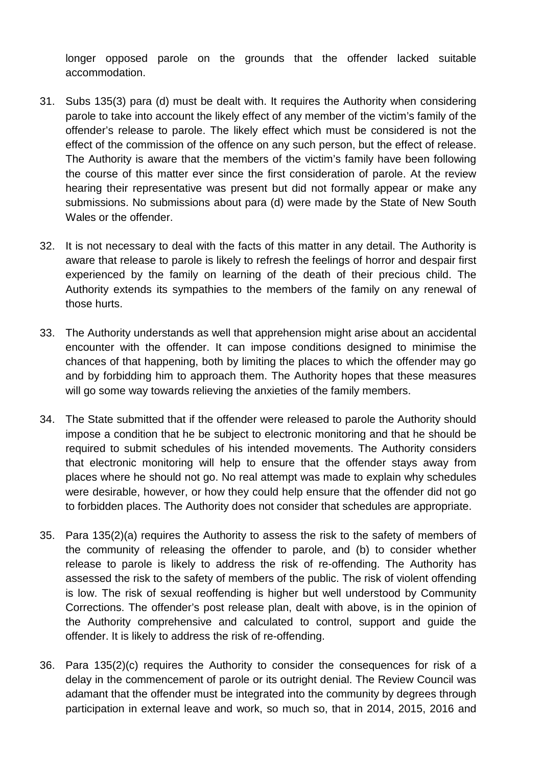longer opposed parole on the grounds that the offender lacked suitable accommodation.

- 31. Subs 135(3) para (d) must be dealt with. It requires the Authority when considering parole to take into account the likely effect of any member of the victim's family of the offender's release to parole. The likely effect which must be considered is not the effect of the commission of the offence on any such person, but the effect of release. The Authority is aware that the members of the victim's family have been following the course of this matter ever since the first consideration of parole. At the review hearing their representative was present but did not formally appear or make any submissions. No submissions about para (d) were made by the State of New South Wales or the offender.
- 32. It is not necessary to deal with the facts of this matter in any detail. The Authority is aware that release to parole is likely to refresh the feelings of horror and despair first experienced by the family on learning of the death of their precious child. The Authority extends its sympathies to the members of the family on any renewal of those hurts.
- 33. The Authority understands as well that apprehension might arise about an accidental encounter with the offender. It can impose conditions designed to minimise the chances of that happening, both by limiting the places to which the offender may go and by forbidding him to approach them. The Authority hopes that these measures will go some way towards relieving the anxieties of the family members.
- 34. The State submitted that if the offender were released to parole the Authority should impose a condition that he be subject to electronic monitoring and that he should be required to submit schedules of his intended movements. The Authority considers that electronic monitoring will help to ensure that the offender stays away from places where he should not go. No real attempt was made to explain why schedules were desirable, however, or how they could help ensure that the offender did not go to forbidden places. The Authority does not consider that schedules are appropriate.
- 35. Para 135(2)(a) requires the Authority to assess the risk to the safety of members of the community of releasing the offender to parole, and (b) to consider whether release to parole is likely to address the risk of re-offending. The Authority has assessed the risk to the safety of members of the public. The risk of violent offending is low. The risk of sexual reoffending is higher but well understood by Community Corrections. The offender's post release plan, dealt with above, is in the opinion of the Authority comprehensive and calculated to control, support and guide the offender. It is likely to address the risk of re-offending.
- 36. Para 135(2)(c) requires the Authority to consider the consequences for risk of a delay in the commencement of parole or its outright denial. The Review Council was adamant that the offender must be integrated into the community by degrees through participation in external leave and work, so much so, that in 2014, 2015, 2016 and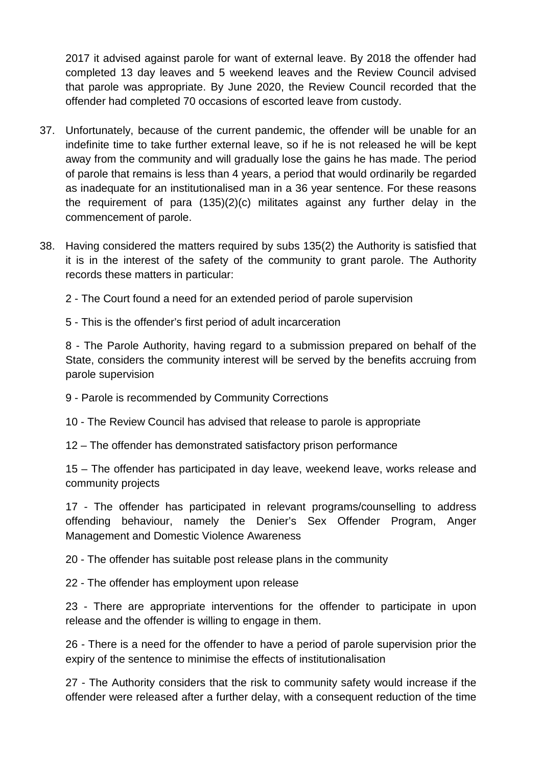2017 it advised against parole for want of external leave. By 2018 the offender had completed 13 day leaves and 5 weekend leaves and the Review Council advised that parole was appropriate. By June 2020, the Review Council recorded that the offender had completed 70 occasions of escorted leave from custody.

- 37. Unfortunately, because of the current pandemic, the offender will be unable for an indefinite time to take further external leave, so if he is not released he will be kept away from the community and will gradually lose the gains he has made. The period of parole that remains is less than 4 years, a period that would ordinarily be regarded as inadequate for an institutionalised man in a 36 year sentence. For these reasons the requirement of para (135)(2)(c) militates against any further delay in the commencement of parole.
- 38. Having considered the matters required by subs 135(2) the Authority is satisfied that it is in the interest of the safety of the community to grant parole. The Authority records these matters in particular:

2 - The Court found a need for an extended period of parole supervision

5 - This is the offender's first period of adult incarceration

8 - The Parole Authority, having regard to a submission prepared on behalf of the State, considers the community interest will be served by the benefits accruing from parole supervision

9 - Parole is recommended by Community Corrections

10 - The Review Council has advised that release to parole is appropriate

12 – The offender has demonstrated satisfactory prison performance

15 – The offender has participated in day leave, weekend leave, works release and community projects

17 - The offender has participated in relevant programs/counselling to address offending behaviour, namely the Denier's Sex Offender Program, Anger Management and Domestic Violence Awareness

20 - The offender has suitable post release plans in the community

22 - The offender has employment upon release

23 - There are appropriate interventions for the offender to participate in upon release and the offender is willing to engage in them.

26 - There is a need for the offender to have a period of parole supervision prior the expiry of the sentence to minimise the effects of institutionalisation

27 - The Authority considers that the risk to community safety would increase if the offender were released after a further delay, with a consequent reduction of the time